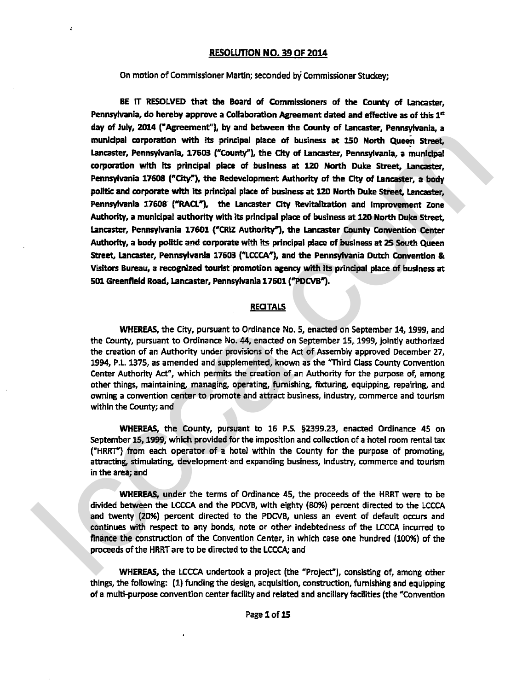## **RESOLWON NO. 39 OF 2014**

## On motion of Commissioner Martin; seconded by Commissioner Stuckey;

BE IT RESOLVED that the Board of Commissioners of the County of Lancaster,<br>Pennsylvania, do hereby approve a Collaboration Agreement dated and effective as of this 1<sup>st</sup> **day of** July, **2014** ("Agreement"), by and between the County of Lancaster, Pennsyfvania, a municipal corporation with its principal place of business at 150 North Queen Street. **Lwcaster,** Pennsylvania, **17603 ("County"), the** Cky **of** Lancaster, Pennsylvania, a municipal corporation Wth Its principal place **of** business at **120** North Duke Street, Lancaster, Pennsylvania 17608 ("City."), the Redevelopment Authority of the City of Lancaster, a body polltic and **corporate with** itr principal place of buslness at **<sup>120</sup>**North **Duke** Street, Lancaster, Pennsylvania **17608 ("RAU"),** the Lancaster **City** Revitaliratfon and Improvement Zone Authority, a municipal authority with its principal place of business at 120 North Duke Street, Lancaster, Pennsylvania 17601 ("CRIZ Authority"), the Lancaster County Convention Center Authority, a body politic and corporate with its principal place of business at 25 South Queen Street, Lancaster, Pennsylvania 17603 ("LCCCA"), and the Pennsylvania Dutch Convention & **VWa** Bureau, a recognized tourist promotion agency with its prindpal place **of** business **at 501** Greenfield Road, Lancaster, Pennsylvania 17601 ("PDCVB"). municipal corresponds with its principal photo of business at 150 Newth Queen Street Language and the party of the Case of business at 150 Newth Queen Street Language approach the River Case Coverably the Gray of userance

## **RECITALS**

**WHEREAS,** the **City,** pursuant to Ordinance No. 5, enacted on September 14,1999, and the County, pursuant to Ordinance No. 44, enacted on September 15,1999, jointly authorized the creation of an Authority under provisions of the Act of Assembly approved December 27, 1994, P.L. 1375, as amended and supplemented, known as the "Third Class County Convention Center Authority Act", which permits the creation of an Authority for the purpose of, among other things, maintaining, managing, operating, furnishing, fixturing, equipping, repairing, and owning a convention center to promote and attract business, industry, commerce and tourism within the County; and

**WHEREAS,** the County, pursuant to 16 **P.S. 92339.23,** enacted Ordinance 45 on September 15, 1999, which provided for the imposition and collection of a hotel room rental tax ("HRRT") from each operator of a hotel wlthin the County for the purpose of promoting, attracting, stimulating, development and expanding business, industry, wmmerce and tourism in the area; and

WHEREAS, under the terms of Ordinance 45, the proceeds of the HRRT were to **be**  divided between the LCCCA and the PDCVB, with eighty (80%) percent directed to the LCCCA and twenty (20%) percent directed to the PDCVB, unless an event of default occurs and continues with respect to any bonds, note or other indebtedness of the LCCCA incurred to finance the construction of the Convention Center, in which case one hundred (100%) of the proceeds of the HRRT are to be directed to the **LCCCA;** and

WHEREAS, the LCCCA undertook a project (the "Project"), consisting of, among other things, the following: (1) funding the design, acquisition, construction, furnishing and equipping of a multi-purpose convention center facility and related and ancillary facilities (the "Convention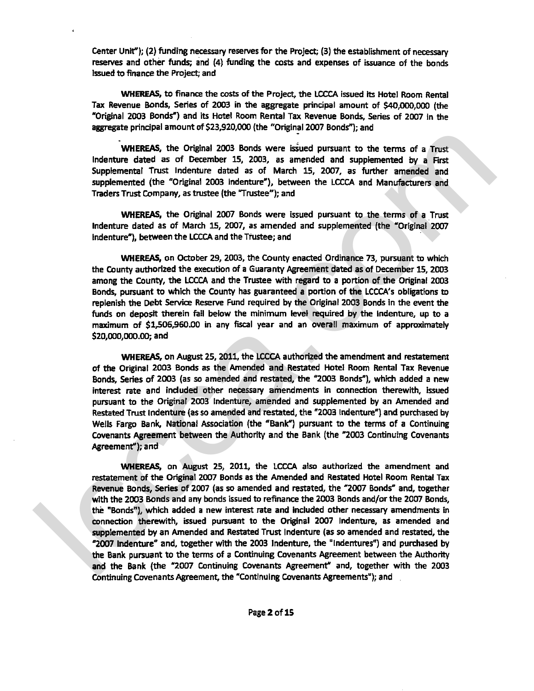Center Unit"); **(2)** funding necessary reserves for the Projea; (3) the establishment of necessary **reserves** and other funds; and (4) funding the costs and expenses of issuance of the bonds Issued to finance the Project; and

**WHEREAS,** to finance the **wsts** of the Project, the **LCCCA** issued its Hotel Room Rental Tax Revenue Bonds, Series of **2003** in the aggregate principal amount of **\$40,000,000 (the**  "Original **2003** Bonds") and its Hotel Room Rental Tax Revenue Bonds, Series of **2007** in the aggregate principal amount of \$23,920,000 (the "Original 2007 Bonds"); and

WHEREAS, the Original 2003 Bonds were issued pursuant to the terms of a Trust lndenture dated as of Oecember 15, **2003,** as amended and suppiemented **by** a First Supplemental Trust lndenture dated as of March **15, 2007,** as further amended and supplemented (the "Original **2003** indenture"), between the LCCCA and Manufacturers and Traders Trust Company, as trustee (the "Trustee"); and

WHEREAS, the Original **2007** Bonds were issued pursuant to the terms of a Trust Indenture dated as of March 15, **2007,** as amended and supplemented (the "Original **2007**  Indenture'), between the **LCCCA** and the Trustee; and

WHEREAS, on October 29, 2003, the County enacted Ordinance 73, pursuant to which the County authorized the execution of a Guaranty Agreement dated as of December **15,2003**  among the County, **the LCCCA** and the Trustee with regard to a portion of the Original **2003**  Bonds, pursuant **to** which the County has guaranteed a portion of the LCCCA's obligations to replenish the Debt **Senrice Reserve** Fund required by the Original **2003** Bonds in **the** event the funds on deposit therein fall below the minimum level required by the indenture, up to a maximum of **\$1,!506,960.00** in any fiscal year and an overall maximum of appraximately **\$zo,ooo,ooo.oo;** and

**WHEREAS,** on August **25,2011,** the LCCCA authorized the amendment and testatemem of the Original **2003** Bonds as the Amended and Restated Hotel Room Rental Tax Revenue **Bonds,** Series of **2003** (as so amended and restated, the **"2003** Bondf), which added a new interest rate and included other necessary amendments in connection therewith, issued pursuant to **the** Original **2003** Indenture, amended and supplemented by an Amended and Restated Trust Indenture (as so amended and restated, the **"2003** Indentutz'') and purchased **by**  Wells Fargo Bank, National Association (the "Bank") pursuant to the terms of a Continuing Covenants Agreement between **the** Authority and the Bank (the **"2003** Continuing Covenants Agreement"); and

WHEREAS, on August **25, 2011,** the **LCCCA** also authorized the amendment and restatement of the Original **2007** Bonds as the Amended and Restated Hotel Room Rental Tax Revenue Bonds, Series of 2007 (as so amended and restated, the "2007 Bonds" and, together with the **2003** Bonds and any bonds issued to refinance the **2003** Bonds and/or the **2007** Bonds, the "Bonds"), which added a new interest rate and included other necessary amendments in connection therewith, issued pursuant to the Original **2007** Indenture, as amended and supplemented **by** an Amended and Restated **Trust** Indenture (as so amended and restated, the **"2007** Indenture" and, together with the **2003** Indenture, the 'Indentures") and purchased by the Bank pursuant to the terms of a Continuing Covenants Agreement between the Authority and the Bank (the **"2007** Continuing Covenants Agreement" and, together **with** the **2003**  Continuing Covenants Agreement, the "Continuing Covenants Agreements"); and whereas the Original 2003 Bonds were using a presented and supplemental by a Receive Castella are of December 15, 2003, as summeded and supplemental Tots indebture dated as of March 15, 2007, as turner amended and suppleme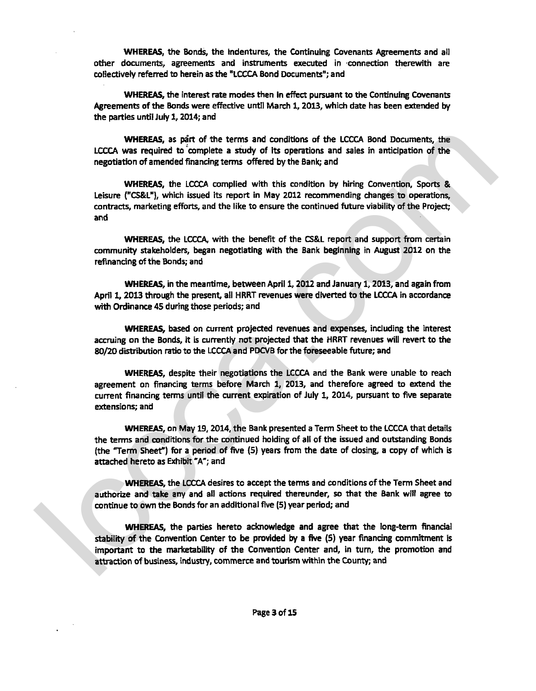**WHEREAS, the Bonds, the Indentures, the Continuing Covenants Agreements and all** other documents, agreements and instruments executed in connection therewith are collectively referred to herein as the "LCCCA Bond Documents"; and

**WHEREAS,** the interest **rate** modes then in **effect** pursuant to **the** Continuing Covenants Agreements of the Bonds were effective untJl March **1, 2OU,** which date has been **extended** by the parties until July **1,2014;** and

**WHEREAS,** as **p&** of the terms and conditions of the LCCCA Bond Documents, the LCCCA was required to'complete a study of its operations and sales in anticipation of **the**  negotiation of amended financing terms offered by the Bank; and

WHEREAS, the LCCCA complied with this condition by hiring Convention, Sports & Leisure **("CS&LU),** which issued its report in May **2012** recommending changes **to** operations, contracts, marketing efforts, and the like to ensure the continued future viability of the Project; and

**WHEREAS, the LCCCA, with the benefit of the CS&L report and support from certain** community stakeholders, began negotiating with the Bank beginning in August **2012** on the refinancing **of** the Bonds; and

**WHEREAS, in the meantime, between April 1, 2012 and January 1, 2013, and again from** April **1,20l3** through the present, all **HRRT** revenues were diverted to **the LCCCA** in accordance with Ordinance 45 during those periods; and

**WHEREAS,** based on current projected revenues and expenses, including the interest accruing on the Bonds, **it is** currently not projected that the HRRT revenues will revert to the 80/20 distribution ratio to the LCCCA and PDCVB for the foreseeable future; and

**WHEREAS,** despite their negotiations the LCCCA and the Bank were unable to reach agreement on financing **terms** before March **1, 2013,** and therefore agreed to extend the current financing tens until the current expiration of July 1, **2014,** pursuant to five separate extensions; and

**WHEREAS, on May 19, 2014, the Bank presented a Term Sheet to the LCCCA that details** the **terms** and conditions for the continued holding of all of the issued and outstanding Bonds (the "Term Sheet") for a period of five (5) years fmrn the date of closing, a copy of which **is**  attached hereto as Exhibit "A"; and

WHEREAS. the LCCCA desires to accept the terms and conditions of the Term Sheet and authorize and take any and all actions required thereunder, **so** that the Bank will agree to continue to own **the** Bonds for an additional five (5) year period; and

**WHEREAS,** the parties hereto acknowledge and agree that the long-term financial **stability of** the Convention Center to **be** provided by a five (5) year financing commitment is important to the marketability of the Convention Center and, in turn, the promotion and attraction of business, industry, commerce and tourism within the County; and WHEREAS, as per cell the therma and conditions of the LCCCA and Decuments, the<br>negotiation of smendide financing terms and conditions of the LCCCA star particles and the<br>negotiation of smendide financing terms of fered by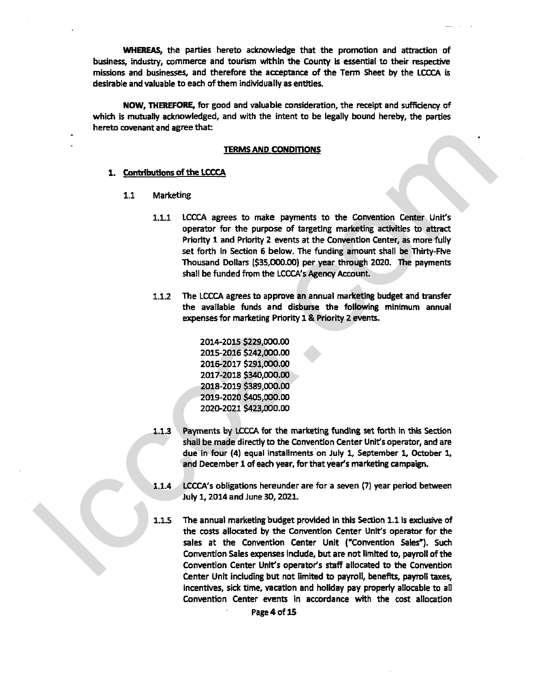**WHEREAS,** the parties hereto acknowledge that the promotion and attraction of business, industry, commerce and tourism within the County is essential to their respective missions and businesses, and therefore the acceptance of the Term Sheet **by** the LCCCA is desirable and valuable to each of them individually as entities.

NOW, **THEREFORE,** for good and valuable consideration, the receipt and sufficiency of which is mutually acknowledged, and with the intent to be legally bound hereby, the parties hereto covenant and agree that:

### TERMS AND CONDITIONS

## 1. **Contributions of the LCCCA**

- 1.1 Marketing
- 1.1.1 LCCCA agrees to make payments to the Convention Center Unit's operator for the purpose of targeting marketing activities to attract Priority 1 and Priority 2 events at the Conventlon Center, as more fully set forth in Section 6 below. The funding amount shall be Thirty-Five Thousand Dollars **(\$35,000.00)** per year through 2020. The payments shall be funded from the LCCCA's Agency Account. TERMS AND CONDITIONS<br>
1. <u>TERMS AND CONDITIONS</u><br>
1. COCA agrees to make paryments to the Convention Center Unit's<br>
1.1 Morketing<br>
1.1 LCCCA agrees to make paryments to the Convention Center Unit's<br>
perform to the further
	- 1.12 The LCCCA agrees to approve an annual **rnarketlng** budget and bansfer the available funds and disburse the following minimum annual expenses for marketing Priority 1 & Priority 2 events.

- **1.1.3** Payments by LCCCA for the marketing funding set forth in this Section shall be made directly to the Convention Center Unit's operator, and are due in four (4) equal instalhents'on July 1, September **1,** October 1, and December 1 of each year, for that year's marketing campaign.
- **1.1.4** LCCCA's obligations hereunder are fora seven (7) year period between July 1,2014 and June 30,2021.
- 1.1.5 The annual marketing budget prwlded in this Section 1.1 is **excius'k** of the costs allocated by the Convention Center Unit's operator for the sales at the Convention Center Unit ("Conwention Sales"). Such Convention Sales expenses Include, but are not limited to, payroll of the Convention Center Unit's operator's staff allocated to the Convention Center Unit including **but** not limited to payroll, benefits, payroll taxes, incentives, sick time, vacation and holiday pay property allocable to aIl Convention Center events in accordance with the cost allocation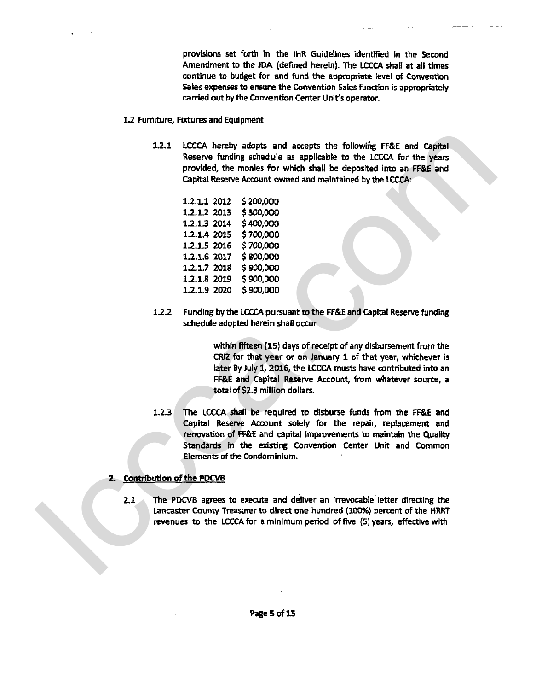provisions set forth in the IHR Guidelines identified in the Second Amendment to the JDA (defined herein). The LCCCA shall at all times continue to budget **for** and fund the appropriate level of Convention Sales expenses to ensure the Convention Sales function is appropriately carried out by the Convention Center Unit's operator.

- **12** Fumlture, Fixtures and Equipment
	- **1.2.1 LCCCA** hereby adopts and accepts **the** followihg FF&E and Capital Reserve funding schedule as applicable to the LCCCA for the years provided, the monies for which shall be deposited into an FF&E and Capital Reserve Account owned and maintained by the **LCCCA:**

**1.2.2** Funding by the **LCCCA** pursuant to the FF&E and Capital Reserve funding schedule adopted herein shall occur

> within fifteen (15) days of receipt of any disbursement from the CRlZ for that year or on January 1 of that year, **whichever** is later By July **1,2016,** the **LCCCA** musts have contributed into an **FF&E** and Capital Reserve Account, **from** whatever **source,** a total of **\$2.3** million dollars.

1.2.3 The LCCCA shall be required to disburse funds from the FF&E and Capital Reserve Account solely for the repair, replacement and renovation of **FF&E** and **capital** Improvements to maintain the Quality Standards in the existing Convention Center Unit and Common Elements of the Condominium. 1.2.1 LCCCA hereby adopts and accepts the following FRE and Capital<br>Reserve Insulng simbolis at suppleable to the LCCCA for the years<br>provided, the monets for which shall be depended into an FRE and<br>Capital Reserve Xcount

## **2. Contribution of the PDCVB**

**2.1** The **PDCVB** agrees to execute and deliver an irrevocable letter directing the **Lancaster** County Treasurer to direct one hundred **(100%)** percent of the HRRT revenues to the LCCCA for a minimum period of five (5) years, effective with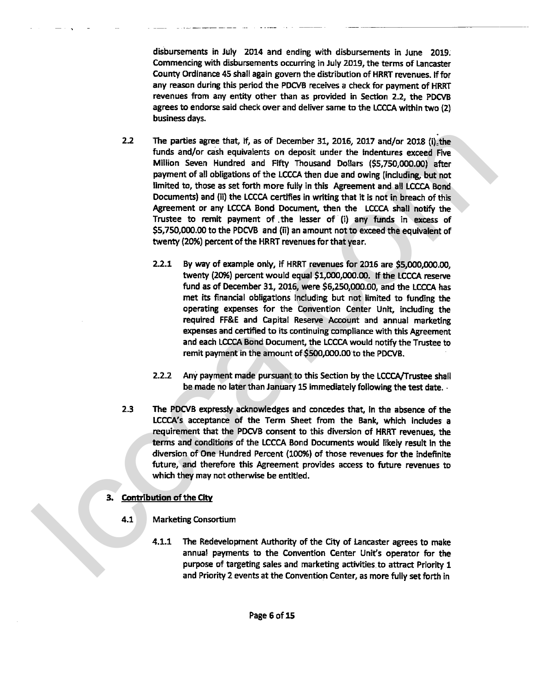disbursements in July **2014** and ending with disbursements in June **2019.**  Commencing with disbursements occurring in July 2019, the terms of Lancaster County Ordinance 45 shall again govern the distribution of HRRT revenues. If for any reason during this period the PDCVB receives a check for payment of HRRT revenues from any entity other than as provided in Section 2.2, the PDCVB agrees to endorse said check over and deliver same to the LCCCA within two (2) business days.

- **2.2** The parties agree that, if, as of December 31, 2016, 2017 and/or 2018 (i) the funds and/or cash equivalents on deposit under the indentures exceed Five Million Seven Hundred and Fifty Thousand Dollars **(\$5,750,000.00)** after payment of all obligations of **the** LCCCA then due and owing (including, but not limited to, those as set forth more fuiy in this Agreement and all LCCCA Bond Documents) and (ii) the LCCCA certifies in writing that it is not in breach of this Agreement or any LCCCA Bond Document, then the LCCCA shall notify the Trustee to remit payment of .the lesser of (i) any funds in excess of **\$5,750,000.00** to the PDCVB and **(ii)** an amount not to exceed the equivalent of twenty **(20%)** percent of **the** HRRT revenues for that year. 2.2 The particle agree that if, as of December 31, 2015, 2422 and/or 2013 (i), the Million September Hutchcoich and Filmy Proximated Dollars (Exponential of the CNSC operators in America.com and the model of the model of
	- **2.2.1** By way of example only, **if** HRRT revenues for **2016 are \$5,000,000.00,**  twenty (20%) percent would equal \$1,000,000.00. If the LCCCA reserve fund as of December **31,2016,** were \$6,250,000.00, and the LCCCA has met its financial obligations including but not limited to funding the operating expenses for the Convention Center Unit, induding the required **FF&E** and Capital Reserve Account and annual marketing expenses and certified to its continuing compliance with this Agreement and **each** LCCCA Bond Document, the LCCCA would notify the Trustee to remit payment in the amount of \$500,000.00 to the PDCVB.
	- **2.2.2** Any payment made pursuant to this Section by the LCCCA/Trustee shall be made no later than January **15** immediately following the test date. .
	- **2.3** The PDCVB expressly acknowledges and concedes that, fn the absence of **the**  LCCCA's acceptance of the Term Sheet from the Bank, which includes a requirement that the PDCVB consent to this diversion of HRRT revenues, the terms and conditions of the LCCCA Bond Documents would likely **result** In the diversion of One Hundred Percent **(100%)** of those revenues for the indefinite future, and therefore this Agreement provides access to **future** revenues to which they may not otherwise be entitled.

# 3. **Contribution of** the City

- 4.1 Marketing Consortium
	- 4.1.1 The Redevelopment Authority of the City of Lancaster agrees to make annual payments to the Convention Center Unit's Operator for the purpose of targeting sales and marketing activities to attract Priority **1**  and Priority **2** events at the Convention Center, as more fully set forth in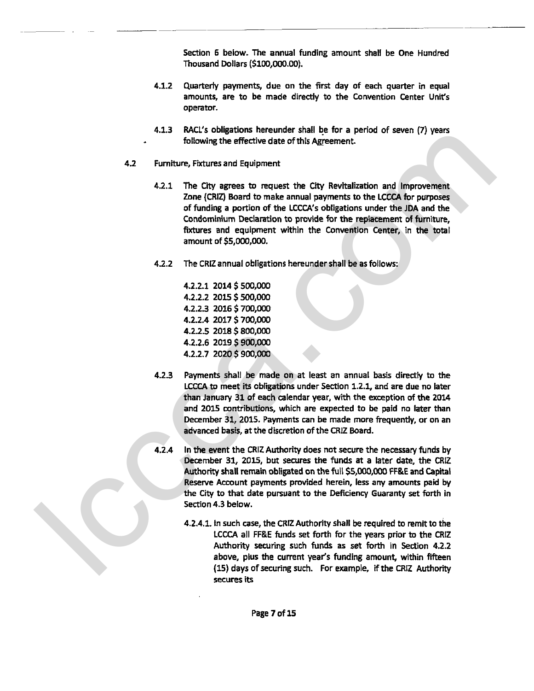Section 6 below. The annual funding amount shall be One Hundred Thousand Dollars (\$100,000.00).

- **4.1.2** Quarterly payments, due on the first day of each quarter in equal amounts, are to be made directly to the Convention Center Unit's operator.
- **4.1.3** WCL's obligations hereunder shall be for a period of seven (7) years following the effective date of this Agreement.
- **4.2 Furniture, Fixtures and Equipment** 
	- The **City** agrees to request the **City** Revitalization and Improvement Zone (CRIZ) Board to make annual payments to the LCCCA for purposes of funding a portion of the LCCCA's obligations under the JDA and the Condominium Declaration to provide for the replacement of furniture, fixtures and equipment within the Convention Center, in the total amount of \$5,000,000.
	- The CRlZ annual obligations hereunder shall be as follows:

- Payments shall be made on at least an annual basis directly to the **LCCCA to meet its obligations under Section 1.2.1, and are due no later** than January 31 of each calendar year, with the exception of the **2014**  and 2015 contributions, which are expected to be paid no later than December **31,2015.** Payments can be made more frequently, or on an advanced basis, at the discretion of the CRlZ Board. 4.1.3 And, since a material can be the specific and the proposition of the specific control of the CRU and the CRU and the CRU and the CRU and the CRU and the CRU and the CRU and the CRU and the CRU and the CRU and the CR
	- In the event the CRIZ Authority does not secure the necessary funds by December **31,** 2015, but secures the funds at a later **date,** the *CRU*  Authority shall remain obligated on the full **\$5,000,000 FF&E** and Capital Reserve Account payments provided herein, less any amounts paid by the City to that date pursuant to the Deficiency Guaranty **set** forth in Section **4.3** below.
		- **4.2.4.1.** In such case, the CRlZ Authority shall be required to remit to the LCCCA all **R&E** funds set forth for the years prior to the CRlZ Authority securing such **fonds** as set forth in Section **4.2.2**  above, plus the current year's funding amount, within fifteen **(15)** days of securing **such.** For example, if the **CRlZ** Authority secures its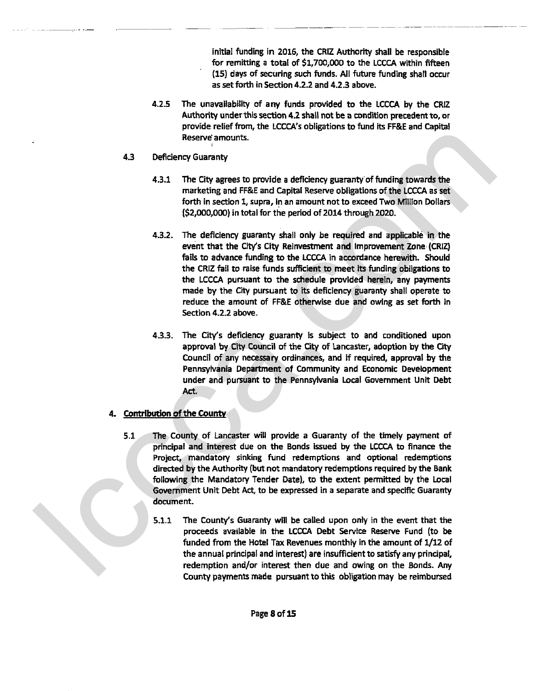initial funding in **2016,** the CRIZ Authority shall be responsible for remitting a total of **\$1,700,000** to the LCCCA within fifteen (15) days of securing such funds. All future funding shall occur as set forth in Section **4.2.2** and **4.23** above.

- **4.2.5** The unavailability of any funds provided to the LCCCA by the **CRlZ**  Authority under this section 4.2 shall not be a condition precedent to, **or**  provide relief from, the LCCCA's obligations to fund its FF&E and Capital Reserve'amounts.
- **4.3** Deficiency Guaranty
	- **4.3.1** The City agrees to provide a deficiency guaranty of funding towards the marketing and **FF&E** and Capital Reserve obligations of the LCCCA as set forth in section **1,** supra, in an amount not to exceed Two Million Dollars **(\$2,004000)** in total for the period of **2014** through **2020.**
- **4.3.2.** The deficiency guaranty shall only be required and applicable in the event that the City's City Reinvestment and Improvement Zone (CRIZ) fails to advance funding to the LCCCA in accordance herewith. Should the CRIZ fail to raise funds sufficient to meet its funding obligations to the LCCCA pursuant to the schedule provlded herein, any payments made by the City pursuant to its deficiency guaranty shall operate to reduce the amount of **FF&E** otherwise due and owing as set forth in Section **4.2.2** above. Reserve amounts.<br>
All Dieficiency Guaranty of the complete and the metric was the metric and the complete and the complete and complete the complete of the CCCA as and<br>  $(3,2,0,0,000)$  the state of complete the period of
	- 4.3.3. The City's deficiency guaranty is subject to and conditioned upon approval by City Council of the City of Lancaster, adoption by the City Council of any necessary ordinances, and if required, approval by the Pennsylvania Department of Community and Economic Development under and pursuant to the Pennsylvania Local Government Unit Debt Act.
	- **A r,ontribution of** the **County** 
		- **5.1** The County of Lancaster will pmvide a Guaranty of the timely payment of principal and interest due on the Bonds issued by the LCCCA to finance the Project, mandatory sinking fund redemptions and optional redemptions directed by the Authority **(but** not mandatory redemptions required by the Bank following the Mandatory Tender Date), to the extent permitted by the Local Government Unit Debt Act, to be expressed in a separate and speciflc Guaranty document.
			- **5.1.1** The County's Guaranty will be called upon only in the event that the proceeds available in the LCCCA Debt Service Reserve Fund (to be funded from the Hotel Tax Revenues monthly in the amount of **1/12** of the annual principal and interest) are insufficient to **satisfy** any principal, redemption and/or interest then due and owing on the Bonds. Any County payments **made** pursuant to this obligation may be reimbursed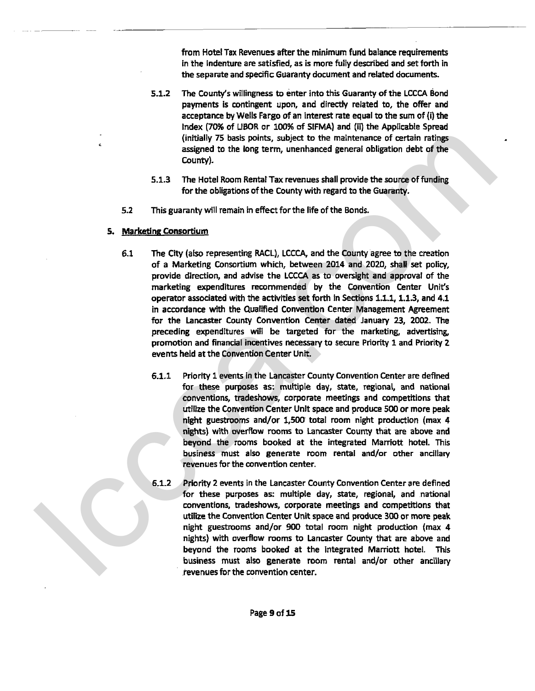from Hotel Tax Revenues after the minimum fund balance requirements in the indenture are satisfied, as is more fully described and set **forth** in **the** separate and specific Guaranty document and related documents.

- $5.1.2$ The **County's** willingness to enter into this Guaranty of the UCCA Bond payments is contingent upon, and directly related to, the offer and acceptance by Wells Fargo of an interest rate equal to the sum of (i) the Index (70% of **LIBOR** or **100%** of SIFMA) and **(ii)** the Applicabie Spread (initially 75 basis points, subject to the maintenance of certain ratings assigned to the long term, unenhanced general obligation debt of the County).
- The Hotel Room Rentat Tax revenues shall provide the source **of** funding for the obligations of the County with regard to the Guaranty.
- **5.2** This guaranty will remain in effect for the life of the Bonds.
- 5. Marketing Consortium
- **6.1** The City (also representing RACL), **LCCCA,** and the County agree to the creation of a Marketing Consortium which, between **2014** and **2020,** shall set policy, provide direction, and advise the **LCCCA** as to oversight and appraval of the marketing expenditures recommended by the Convention Center Unit's operator associated with the activities set forth in Sections **1.1.1,1.1.3,** and **4.1**  in accordance with the Qualified Convention Center Management Agreement for the Lancaster County Convention Center dated January 23, **2002.** The preceding expendltures will be targeted for the marketing, advertising, promotion and financial incentives necessary to secure Priorfty 1 and Priority 2 events held at the Convention Center Unit. (instaly 75 peaks points, and/or the maintename of cartain ship and the control of the computer sasteped to the long term, uncertained graded of the Country).<br>
S.1.3 The total boom Remat Tax revenues dual provide the sour
	- Priority **1** events in the Lancaster County Convention Center **are** defined for these purposes as: multiple day, state, regional, and national conventions, tradeshows, corporate meetings and competitions that utilize the Convention Center Unit space and produce **500** or more peak night guestrooms and/or 1,500 total room night production (max 4 nights) with overflow rooms to Lancaster County that are above and beyond the rooms booked at the integrated Marriott hotel. This business must also generate room rental and/or other ancillary revenues for the convention center.
	- Priority 2 events in the Lancaster County Convention Center are defined for these purposes as: multiple day, state, regional, and national conventions, tradeshows, corporate meetings and competitions that utilize the Convention Center Unit space and produce 300 or more peak night guestrooms and/or 900 total room night production (max 4 nights) with overflow moms to Lancaster County that are above and beyond the rooms booked at the integrated Marriott hotel. This business **must** also generate room rental and/or other ancillary revenues for the convention center.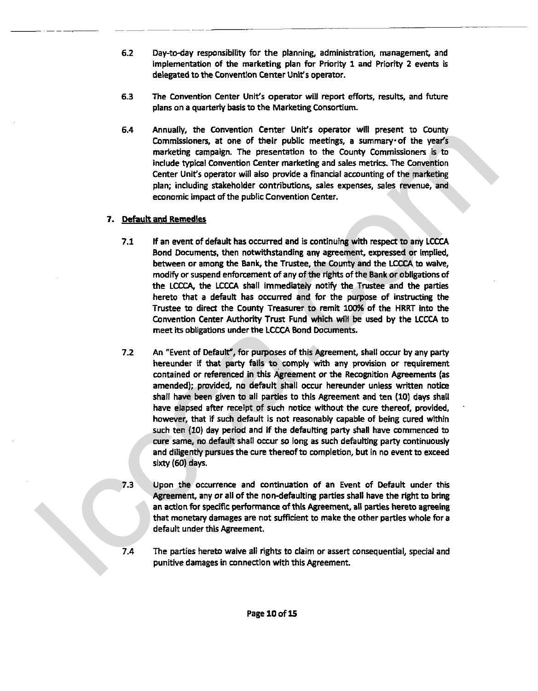- $6.2$ Day-to-day responsibility for the planning, administration, management, and implementation of the marketing plan for Priority **I** and Priority 2 events **is**  delegated to the Conventlon Center Unit's operator.
- $6.3$ The Convention Center Unit's operator will report efforts, results, and future plans on a quarterly basis to the Marketing Consortium.
- Annually, the Convention Center Unit's operator will present to County Commissioners, at one of their public meetings, a summary of the year's marketing campaign. The presentation to the County Commissioners is to include typical Convention Center marketing and sales metrics. The Convention Center Unit's operator will also provide a financial accounting of the marketing plan; including stakeholder contributions, sales expenses, sales revenue, and economic impact **of** the public Convention Center.

# 7. **Default and** Remedies

- If an event of default has occurred and **is** continuing wlth respect to any LCCCA Bond Documents, then notwithstanding any agreement, expressed or implied, between or among the Bank, the Trustee, the County and the **ECCA** to **waive,**  modify or suspend enforcement of any of the rights of the Bank or obiigations of the **LCCCq** the LCCCA shall immediately notify the Trustee and the parties hereto that a defautt has occurred and for the purpose **of** instructing the Trustee to direct the County Treasurer to remit 100% of the HRRT into the Convention Center Authority Trust Fund which will be used by the LCCCA to meet its obligations under the LCCCA Bond Documents.
- An "Event of Default", for purposes of this Agreement, shall occur by any party hereunder **If that** party fails to comply with any provision or requirement contained or referenced in **this** Agreement or the Recognition **Agreements** (as amended); provided, no default shall occur hereunder unless written notice shall have been given to all parties to this Agreement and ten (10) days shall have elapsed after receipt of such notice without the cure thereof, provided, , however, that if such default is not reasonably capable of being cured within such ten (10) day period and if the defaufting party shall have commenced to cure same, no default shall occur **so** long as such defaulting party continuously and diligently pursues the cure thereof to completion, but in no event to exceed sixty (60) days. Solven the Content of Lemathan Central Units Superinter with present to Location of the Content of Lemathan Central Central Central Central Central Central Central Central Central Central Central Central Central Central Ce
	- Upon the occurrence and continuation of an Event of Default under this Agreement, any or all of the non-defaulting parties shall have the right to bring an action for specific performance of this Agreement, all **parties** hereto agreeing that monetary damages are not sufficient to make the other parties whole for a default under this Agreement.
	- The parties hereto waive all rights to claim or assert consequential, special and punitive damages in connection wlth this Agreement.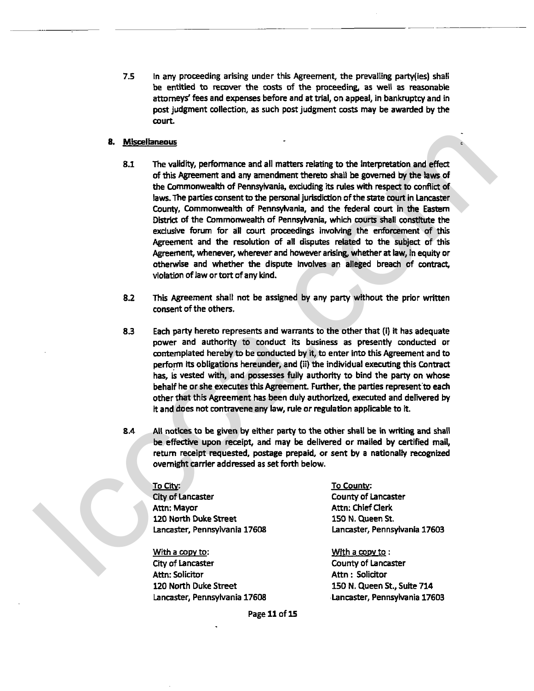**7.5 In any proceeding arising under this Agreement, the prevailing party(ies) shall be** entitred to recover the costs of the proceeding, as well as reasonable attorneys' fees and expenses before and at trial, on appeal, in bankruptcy and in post judgment collection, **as** such post judgment **costs** may be awarded by the court.

- The validity, performance and all matters relating to **the** interpretation and **effect**  of this Agreement and any amendment thereto shall be governed by the laws of the Commonwealth of Pennsylvania, exduding its rules with respect to confiict **of**  laws. The parties consent to **the** personal jurisdiction of the state court in Lancaster County, Commonweatth **of** Pennsylvania, and the federal court in the Eastem **via** of the Commonwealth of Pennsylvania, which courts shall constitute the **exdusiw** forum for all court proceedings involving the enforcement of this Agreement and the resolution **of** all diiputes related to the subject of this Agreement, whenever, wherever and howewr arising, whether at law, in equity or otherwise and whether the dispute involves an alleged breach of **contract,**  vlolatlon of law or tort of any kind. 8. Miscalaneous<br>
1. The validity performence and all metters relating to the interpretation and effect<br>
the Agreement and any amendment theretic stual be governed by the lives of<br>
the Commonwealth of Fermaly-Mini-Mini-Min
	- **This** Agreement shall not be assigned by any party without the prior written consent of the others.
	- Each party hereto represents and warrants to the other that (i) it has adequate power and authority to conduct its business as presently conducted or contemplated hereby to be conducted by it, to enter into this Agreement and to perform its obligations hereunder, and (ii) the individual executing this Contract has, is vested with, and possesses fully authority to bind the party on whose behalf he or she executes this Agreement. Further, the parties represent to each other that this Agreement has been duly authorized, executed and delivered **by**  it and does not contravene any law, rule or regulation applicable to it.
	- All notlces to **be given** by either patty to the other shall be in writing and hall be effective upon receipt, and may be delivered or mailed by certified mail, return receipt requested, postage prepaid, or sent **by** a nationally recognized overnight carrier addressed as set forth below.

City of Lancaster County of Lancaster Attn: Mayor Attn: Chief Clerk **120 North Duke Street 150 N. Queen St.** Lancaster, Pennsylvania **17608** Lancaster, Pennsylvania **17603** 

With a copy to: With a copy to: City of Laneaster County of Lancaster Attn: Solicitor **Attn** : Solicitor **UO** North Duke Street 150 N. Queen St., Suite **<sup>714</sup>** Lamaster, Pennsylvania **17608** Lancaster, Pennsylvania **17603** 

~o~itv: **TO** county:

Page 11 of 15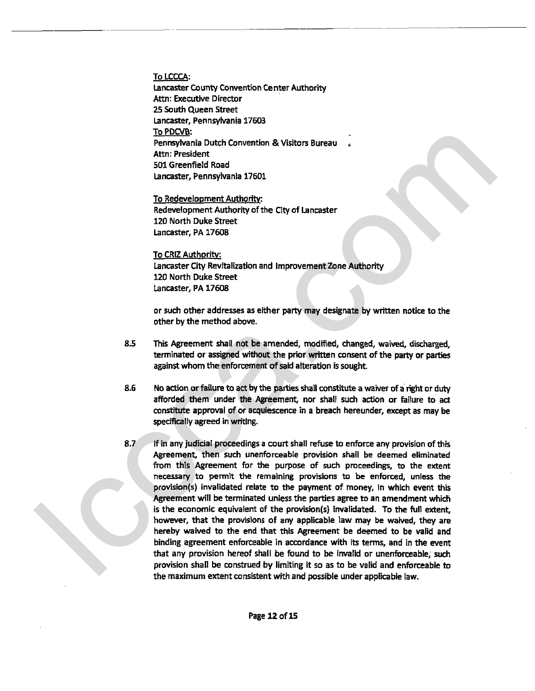To LCCCA: Lancaster County Convention Center Authority Attn: Executive Director **25 South** Queen Street Lancaster, Pennsylvania 17603 To PDCVB: Pennsylvania Dutch Convention & Visitors Bureau Attn: President 501 Greenfield Road Lancaster, Pennsylvania 17601

To Redevelopment Authority: Redevelopment Authority of **the** City of Lancaster 120 North Duke Street Lancaster, PA 17608

To CRlZ Authoritv. Lancaster City Revitalization and Improvement Zone Authority 120 North Duke Street Lancaster, PA 17608

or such other addresses as either **party** may designate by written notice to the other by the method above.

- **8.5** This Agreement shall not be amended, **modified,** changed, waived, discharged, terminated or assigned without the prior written consent of the party or **parties**  against whom the enforcement **of** said alteration is sought.
- 8.6 No action or failure to act by the parties shall constitute a waiver of a right or duty afforded them under the Agreement, nor shall such action or failure to act constitute approval of or acquiescence in a breach hereunder, except as may be spedficatly agreed in writing.
- 8.7 If in any judicial proceedings a court shall refuse to enforce any provision of this Agreement, then such unenforceable provision shall be deemed eliminated from this Agreement for the purpose of such proceedings, to the extent necessary to permit the rernatning provisions to **be** enforced, unless the provision(s) invalidated relate to the payment of money, in which event this Agreement will be terminated unless the parties agree to an amendment which is the economic equivalent of the provision(s) invalidated. To the full extent, however, that the provisions of any applicable law may **be** waived, they are hereby waived to the end that this Agreement be deemed to be valid and binding agreement enforceable in accordance with its terms, and in the went that any provision hereof shall be found to be invalid or unenforceable; such provision shall be construed by limiting it so as to be valid and enforceable to the maximum extent consistent with and possible under applicable law. To ENCADE<br>
Structure During Control Convention & Visitors Bureau<br>
Acts of terms (with the comparation of the City of Lancaster<br>
State Control (with the City of Lancaster<br>
State Comparation (with City of Lancaster<br>
Redevelo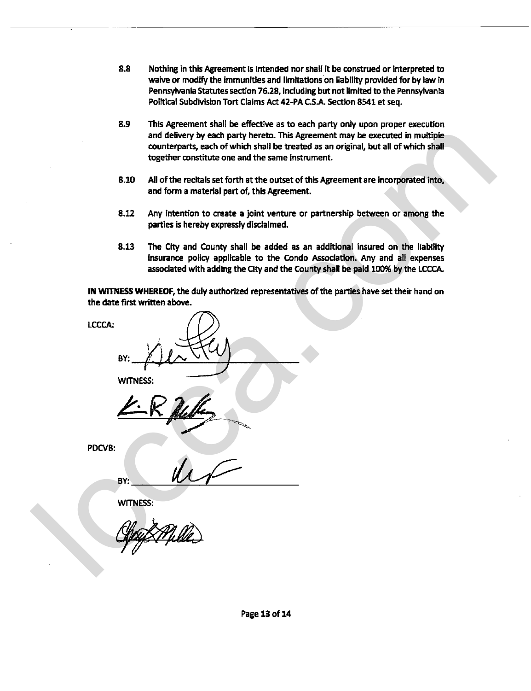- **8.8** Nothing in **thii** Agreement is intended nor shall it be construed or interpreted to waive or modify the immunities and limitations on liability provided for by law in Pennsylvania Statutes section 76.28, including but not limited to the Pennsylvania Political Subdivision Tort Claims Act 42-PA CS.A Section **8541** et seq.
- **8.9** This Agreement shall be effective as to each party only upon proper ewecution and delivery by each party hereto. This Agreement may **be** executed in multiple counterparts, each of which shall be treated as an original, but all of which shall together constitute one and the same Instrument.
- **8.10** All of the recitals set forth at the outset of this Agreement are incorporated into, and form a material part of, this Agreement.
- 8.12 Any intention to create a joint venture or partnership between or among the parties is hereby expressly disclaimed.
- **8.13** The **aty** and **County** shall be added as an additional insured on the liability insurance policy applicable to the Condo &ciation. Any and all expenses associated with adding the City and the County shall be paid 100% by the LCCCA.

IN **WITNESS WHEREOF,** the duly authorized representatives of the parties haw set their hand on the date first written above.

**LCCCA: BY: WITNESS BY:**  and delivery is each party here on This Agreement may be essented in multiple to the translation of the translation of the same instrument.<br>
Support constitute one and the same instrument.<br>
Support considers the control an

**WITNESS:**